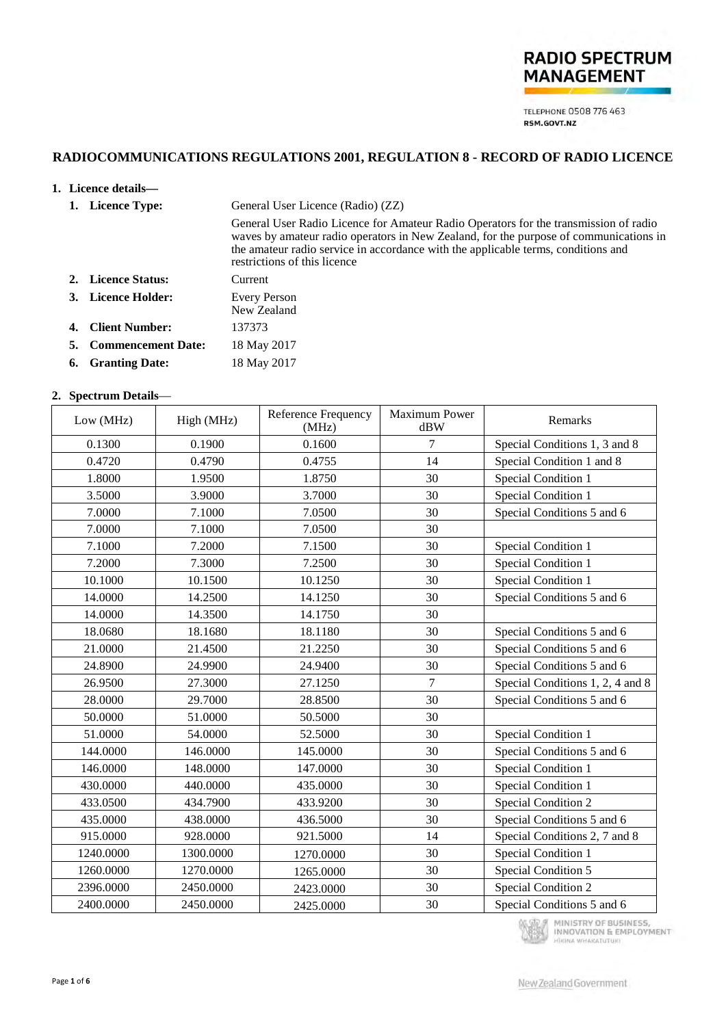

**TELEPHONE 0508 776 463** RSM.GOVT.NZ

# **RADIOCOMMUNICATIONS REGULATIONS 2001, REGULATION 8 - RECORD OF RADIO LICENCE**

#### **1. Licence details—**

| General User Licence (Radio) (ZZ)<br>1. Licence Type: |                           |                                                                                                                                                                                                                                                                                                    |  |
|-------------------------------------------------------|---------------------------|----------------------------------------------------------------------------------------------------------------------------------------------------------------------------------------------------------------------------------------------------------------------------------------------------|--|
|                                                       |                           | General User Radio Licence for Amateur Radio Operators for the transmission of radio<br>waves by amateur radio operators in New Zealand, for the purpose of communications in<br>the amateur radio service in accordance with the applicable terms, conditions and<br>restrictions of this licence |  |
|                                                       | 2. Licence Status:        | Current                                                                                                                                                                                                                                                                                            |  |
|                                                       | 3. Licence Holder:        | Every Person<br>New Zealand                                                                                                                                                                                                                                                                        |  |
|                                                       | 4. Client Number:         | 137373                                                                                                                                                                                                                                                                                             |  |
| 5.                                                    | <b>Commencement Date:</b> | 18 May 2017                                                                                                                                                                                                                                                                                        |  |
| 6.                                                    | <b>Granting Date:</b>     | 18 May 2017                                                                                                                                                                                                                                                                                        |  |

#### **2. Spectrum Details**—

| Low (MHz) | High (MHz) | Reference Frequency<br>(MHz) | <b>Maximum Power</b><br>dBW | Remarks                          |
|-----------|------------|------------------------------|-----------------------------|----------------------------------|
| 0.1300    | 0.1900     | 0.1600                       | $\overline{7}$              | Special Conditions 1, 3 and 8    |
| 0.4720    | 0.4790     | 0.4755                       | 14                          | Special Condition 1 and 8        |
| 1.8000    | 1.9500     | 1.8750                       | 30                          | Special Condition 1              |
| 3.5000    | 3.9000     | 3.7000                       | 30                          | <b>Special Condition 1</b>       |
| 7.0000    | 7.1000     | 7.0500                       | 30                          | Special Conditions 5 and 6       |
| 7.0000    | 7.1000     | 7.0500                       | 30                          |                                  |
| 7.1000    | 7.2000     | 7.1500                       | 30                          | <b>Special Condition 1</b>       |
| 7.2000    | 7.3000     | 7.2500                       | 30                          | <b>Special Condition 1</b>       |
| 10.1000   | 10.1500    | 10.1250                      | 30                          | <b>Special Condition 1</b>       |
| 14.0000   | 14.2500    | 14.1250                      | 30                          | Special Conditions 5 and 6       |
| 14.0000   | 14.3500    | 14.1750                      | 30                          |                                  |
| 18.0680   | 18.1680    | 18.1180                      | 30                          | Special Conditions 5 and 6       |
| 21.0000   | 21.4500    | 21.2250                      | 30                          | Special Conditions 5 and 6       |
| 24.8900   | 24.9900    | 24.9400                      | 30                          | Special Conditions 5 and 6       |
| 26.9500   | 27.3000    | 27.1250                      | $\overline{7}$              | Special Conditions 1, 2, 4 and 8 |
| 28.0000   | 29.7000    | 28.8500                      | 30                          | Special Conditions 5 and 6       |
| 50.0000   | 51.0000    | 50.5000                      | 30                          |                                  |
| 51.0000   | 54.0000    | 52.5000                      | 30                          | Special Condition 1              |
| 144.0000  | 146.0000   | 145.0000                     | 30                          | Special Conditions 5 and 6       |
| 146.0000  | 148.0000   | 147.0000                     | 30                          | Special Condition 1              |
| 430.0000  | 440.0000   | 435.0000                     | 30                          | <b>Special Condition 1</b>       |
| 433.0500  | 434.7900   | 433.9200                     | 30                          | Special Condition 2              |
| 435.0000  | 438.0000   | 436.5000                     | 30                          | Special Conditions 5 and 6       |
| 915.0000  | 928.0000   | 921.5000                     | 14                          | Special Conditions 2, 7 and 8    |
| 1240.0000 | 1300.0000  | 1270.0000                    | 30                          | Special Condition 1              |
| 1260.0000 | 1270.0000  | 1265.0000                    | 30                          | Special Condition 5              |
| 2396.0000 | 2450.0000  | 2423.0000                    | 30                          | Special Condition 2              |
| 2400.0000 | 2450.0000  | 2425.0000                    | 30                          | Special Conditions 5 and 6       |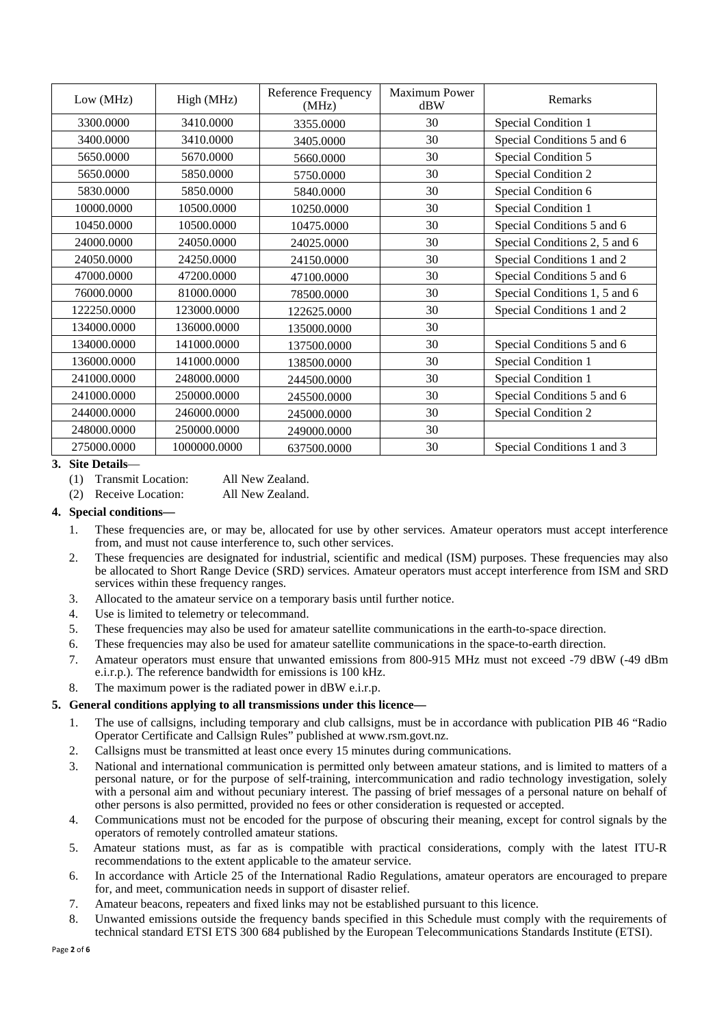| Low (MHz)   | High (MHz)   | Reference Frequency<br>(MHz) | <b>Maximum Power</b><br>dBW | Remarks                       |
|-------------|--------------|------------------------------|-----------------------------|-------------------------------|
| 3300.0000   | 3410.0000    | 3355.0000                    | 30                          | Special Condition 1           |
| 3400.0000   | 3410.0000    | 3405.0000                    | 30                          | Special Conditions 5 and 6    |
| 5650.0000   | 5670.0000    | 5660.0000                    | 30                          | Special Condition 5           |
| 5650,0000   | 5850,0000    | 5750.0000                    | 30                          | Special Condition 2           |
| 5830.0000   | 5850.0000    | 5840.0000                    | 30                          | Special Condition 6           |
| 10000.0000  | 10500.0000   | 10250.0000                   | 30                          | Special Condition 1           |
| 10450.0000  | 10500.0000   | 10475.0000                   | 30                          | Special Conditions 5 and 6    |
| 24000.0000  | 24050.0000   | 24025.0000                   | 30                          | Special Conditions 2, 5 and 6 |
| 24050.0000  | 24250.0000   | 24150.0000                   | 30                          | Special Conditions 1 and 2    |
| 47000.0000  | 47200.0000   | 47100.0000                   | 30                          | Special Conditions 5 and 6    |
| 76000.0000  | 81000.0000   | 78500.0000                   | 30                          | Special Conditions 1, 5 and 6 |
| 122250.0000 | 123000.0000  | 122625.0000                  | 30                          | Special Conditions 1 and 2    |
| 134000.0000 | 136000.0000  | 135000.0000                  | 30                          |                               |
| 134000.0000 | 141000.0000  | 137500.0000                  | 30                          | Special Conditions 5 and 6    |
| 136000.0000 | 141000.0000  | 138500.0000                  | 30                          | Special Condition 1           |
| 241000.0000 | 248000.0000  | 244500.0000                  | 30                          | Special Condition 1           |
| 241000.0000 | 250000.0000  | 245500.0000                  | 30                          | Special Conditions 5 and 6    |
| 244000.0000 | 246000.0000  | 245000.0000                  | 30                          | Special Condition 2           |
| 248000.0000 | 250000.0000  | 249000.0000                  | 30                          |                               |
| 275000.0000 | 1000000.0000 | 637500.0000                  | 30                          | Special Conditions 1 and 3    |

#### **3. Site Details**—

(1) Transmit Location: All New Zealand.

(2) Receive Location: All New Zealand.

## **4. Special conditions—**

- 1. These frequencies are, or may be, allocated for use by other services. Amateur operators must accept interference from, and must not cause interference to, such other services.
- 2. These frequencies are designated for industrial, scientific and medical (ISM) purposes. These frequencies may also be allocated to Short Range Device (SRD) services. Amateur operators must accept interference from ISM and SRD services within these frequency ranges.
- 3. Allocated to the amateur service on a temporary basis until further notice.
- 4. Use is limited to telemetry or telecommand.
- 5. These frequencies may also be used for amateur satellite communications in the earth-to-space direction.
- 6. These frequencies may also be used for amateur satellite communications in the space-to-earth direction.
- 7. Amateur operators must ensure that unwanted emissions from 800-915 MHz must not exceed -79 dBW (-49 dBm e.i.r.p.). The reference bandwidth for emissions is 100 kHz.
- 8. The maximum power is the radiated power in dBW e.i.r.p.

#### **5. General conditions applying to all transmissions under this licence—**

- 1. The use of callsigns, including temporary and club callsigns, must be in accordance with publication PIB 46 "Radio Operator Certificate and Callsign Rules" published at www.rsm.govt.nz.
- 2. Callsigns must be transmitted at least once every 15 minutes during communications.
- 3. National and international communication is permitted only between amateur stations, and is limited to matters of a personal nature, or for the purpose of self-training, intercommunication and radio technology investigation, solely with a personal aim and without pecuniary interest. The passing of brief messages of a personal nature on behalf of other persons is also permitted, provided no fees or other consideration is requested or accepted.
- 4. Communications must not be encoded for the purpose of obscuring their meaning, except for control signals by the operators of remotely controlled amateur stations.
- 5. Amateur stations must, as far as is compatible with practical considerations, comply with the latest ITU-R recommendations to the extent applicable to the amateur service.
- 6. In accordance with Article 25 of the International Radio Regulations, amateur operators are encouraged to prepare for, and meet, communication needs in support of disaster relief.
- 7. Amateur beacons, repeaters and fixed links may not be established pursuant to this licence.
- 8. Unwanted emissions outside the frequency bands specified in this Schedule must comply with the requirements of technical standard ETSI ETS 300 684 published by the European Telecommunications Standards Institute (ETSI).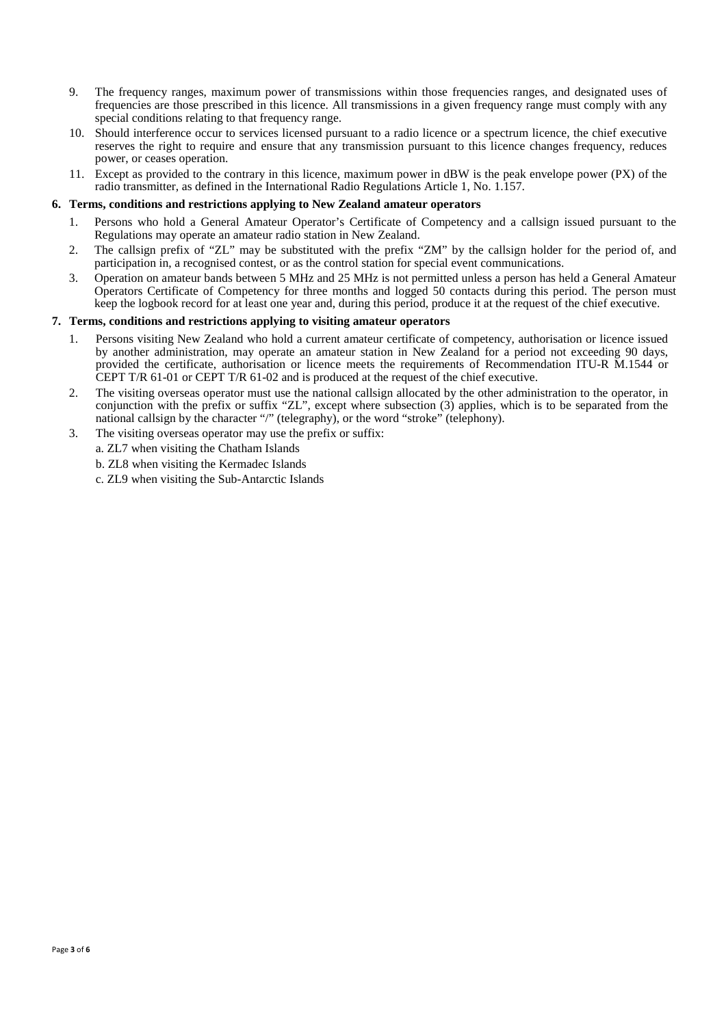- 9. The frequency ranges, maximum power of transmissions within those frequencies ranges, and designated uses of frequencies are those prescribed in this licence. All transmissions in a given frequency range must comply with any special conditions relating to that frequency range.
- 10. Should interference occur to services licensed pursuant to a radio licence or a spectrum licence, the chief executive reserves the right to require and ensure that any transmission pursuant to this licence changes frequency, reduces power, or ceases operation.
- 11. Except as provided to the contrary in this licence, maximum power in dBW is the peak envelope power (PX) of the radio transmitter, as defined in the International Radio Regulations Article 1, No. 1.157.

#### **6. Terms, conditions and restrictions applying to New Zealand amateur operators**

- 1. Persons who hold a General Amateur Operator's Certificate of Competency and a callsign issued pursuant to the Regulations may operate an amateur radio station in New Zealand.
- 2. The callsign prefix of "ZL" may be substituted with the prefix "ZM" by the callsign holder for the period of, and participation in, a recognised contest, or as the control station for special event communications.
- 3. Operation on amateur bands between 5 MHz and 25 MHz is not permitted unless a person has held a General Amateur Operators Certificate of Competency for three months and logged 50 contacts during this period. The person must keep the logbook record for at least one year and, during this period, produce it at the request of the chief executive.

#### **7. Terms, conditions and restrictions applying to visiting amateur operators**

- 1. Persons visiting New Zealand who hold a current amateur certificate of competency, authorisation or licence issued by another administration, may operate an amateur station in New Zealand for a period not exceeding 90 days, provided the certificate, authorisation or licence meets the requirements of Recommendation ITU-R M.1544 or CEPT T/R 61-01 or CEPT T/R 61-02 and is produced at the request of the chief executive.
- 2. The visiting overseas operator must use the national callsign allocated by the other administration to the operator, in conjunction with the prefix or suffix "ZL", except where subsection (3) applies, which is to be separated from the national callsign by the character "/" (telegraphy), or the word "stroke" (telephony).
- 3. The visiting overseas operator may use the prefix or suffix:
	- a. ZL7 when visiting the Chatham Islands
	- b. ZL8 when visiting the Kermadec Islands
	- c. ZL9 when visiting the Sub-Antarctic Islands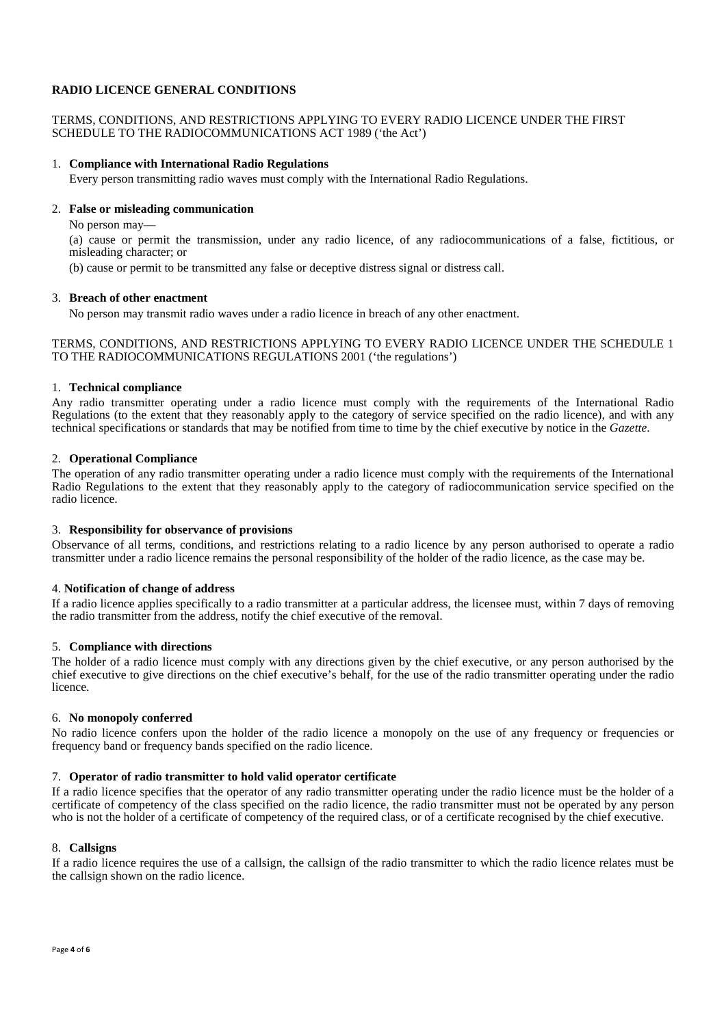## **RADIO LICENCE GENERAL CONDITIONS**

#### TERMS, CONDITIONS, AND RESTRICTIONS APPLYING TO EVERY RADIO LICENCE UNDER THE FIRST SCHEDULE TO THE RADIOCOMMUNICATIONS ACT 1989 ('the Act')

#### 1. **Compliance with International Radio Regulations**

Every person transmitting radio waves must comply with the International Radio Regulations.

#### 2. **False or misleading communication**

No person may—

(a) cause or permit the transmission, under any radio licence, of any radiocommunications of a false, fictitious, or misleading character; or

(b) cause or permit to be transmitted any false or deceptive distress signal or distress call.

#### 3. **Breach of other enactment**

No person may transmit radio waves under a radio licence in breach of any other enactment.

#### TERMS, CONDITIONS, AND RESTRICTIONS APPLYING TO EVERY RADIO LICENCE UNDER THE SCHEDULE 1 TO THE RADIOCOMMUNICATIONS REGULATIONS 2001 ('the regulations')

#### 1. **Technical compliance**

Any radio transmitter operating under a radio licence must comply with the requirements of the International Radio Regulations (to the extent that they reasonably apply to the category of service specified on the radio licence), and with any technical specifications or standards that may be notified from time to time by the chief executive by notice in the *Gazette*.

#### 2. **Operational Compliance**

The operation of any radio transmitter operating under a radio licence must comply with the requirements of the International Radio Regulations to the extent that they reasonably apply to the category of radiocommunication service specified on the radio licence.

#### 3. **Responsibility for observance of provisions**

Observance of all terms, conditions, and restrictions relating to a radio licence by any person authorised to operate a radio transmitter under a radio licence remains the personal responsibility of the holder of the radio licence, as the case may be.

#### 4. **Notification of change of address**

If a radio licence applies specifically to a radio transmitter at a particular address, the licensee must, within 7 days of removing the radio transmitter from the address, notify the chief executive of the removal.

#### 5. **Compliance with directions**

The holder of a radio licence must comply with any directions given by the chief executive, or any person authorised by the chief executive to give directions on the chief executive's behalf, for the use of the radio transmitter operating under the radio licence.

#### 6. **No monopoly conferred**

No radio licence confers upon the holder of the radio licence a monopoly on the use of any frequency or frequencies or frequency band or frequency bands specified on the radio licence.

#### 7. **Operator of radio transmitter to hold valid operator certificate**

If a radio licence specifies that the operator of any radio transmitter operating under the radio licence must be the holder of a certificate of competency of the class specified on the radio licence, the radio transmitter must not be operated by any person who is not the holder of a certificate of competency of the required class, or of a certificate recognised by the chief executive.

#### 8. **Callsigns**

If a radio licence requires the use of a callsign, the callsign of the radio transmitter to which the radio licence relates must be the callsign shown on the radio licence.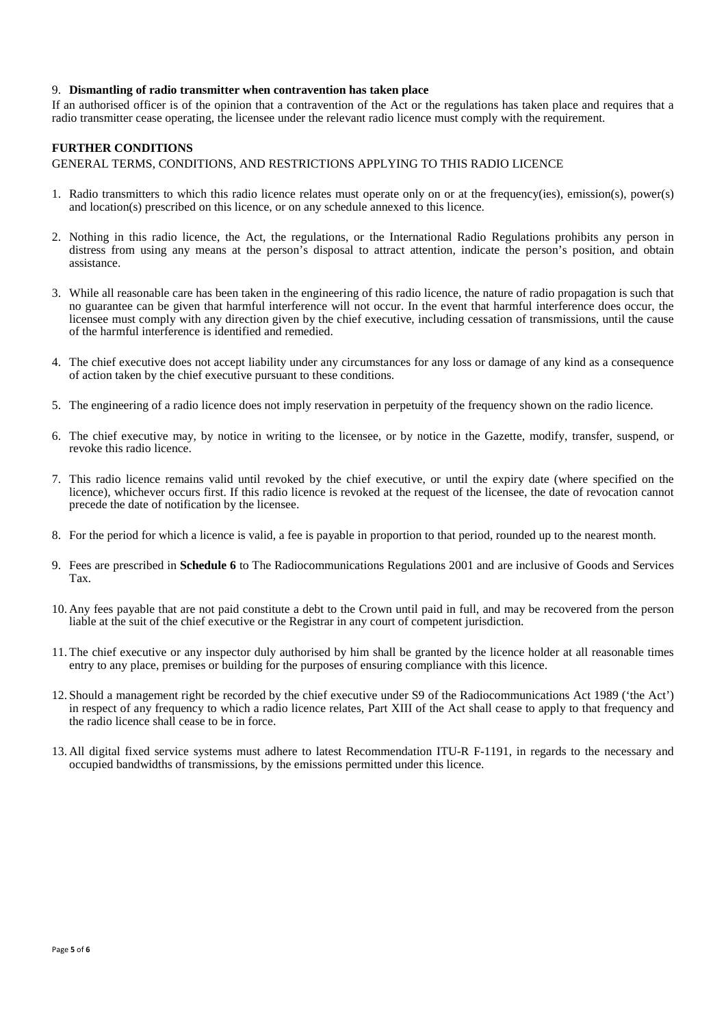#### 9. **Dismantling of radio transmitter when contravention has taken place**

If an authorised officer is of the opinion that a contravention of the Act or the regulations has taken place and requires that a radio transmitter cease operating, the licensee under the relevant radio licence must comply with the requirement.

#### **FURTHER CONDITIONS**

GENERAL TERMS, CONDITIONS, AND RESTRICTIONS APPLYING TO THIS RADIO LICENCE

- 1. Radio transmitters to which this radio licence relates must operate only on or at the frequency(ies), emission(s), power(s) and location(s) prescribed on this licence, or on any schedule annexed to this licence.
- 2. Nothing in this radio licence, the Act, the regulations, or the International Radio Regulations prohibits any person in distress from using any means at the person's disposal to attract attention, indicate the person's position, and obtain assistance.
- 3. While all reasonable care has been taken in the engineering of this radio licence, the nature of radio propagation is such that no guarantee can be given that harmful interference will not occur. In the event that harmful interference does occur, the licensee must comply with any direction given by the chief executive, including cessation of transmissions, until the cause of the harmful interference is identified and remedied.
- 4. The chief executive does not accept liability under any circumstances for any loss or damage of any kind as a consequence of action taken by the chief executive pursuant to these conditions.
- 5. The engineering of a radio licence does not imply reservation in perpetuity of the frequency shown on the radio licence.
- 6. The chief executive may, by notice in writing to the licensee, or by notice in the Gazette, modify, transfer, suspend, or revoke this radio licence.
- 7. This radio licence remains valid until revoked by the chief executive, or until the expiry date (where specified on the licence), whichever occurs first. If this radio licence is revoked at the request of the licensee, the date of revocation cannot precede the date of notification by the licensee.
- 8. For the period for which a licence is valid, a fee is payable in proportion to that period, rounded up to the nearest month.
- 9. Fees are prescribed in **Schedule 6** to The Radiocommunications Regulations 2001 and are inclusive of Goods and Services Tax.
- 10. Any fees payable that are not paid constitute a debt to the Crown until paid in full, and may be recovered from the person liable at the suit of the chief executive or the Registrar in any court of competent jurisdiction.
- 11. The chief executive or any inspector duly authorised by him shall be granted by the licence holder at all reasonable times entry to any place, premises or building for the purposes of ensuring compliance with this licence.
- 12. Should a management right be recorded by the chief executive under S9 of the Radiocommunications Act 1989 ('the Act') in respect of any frequency to which a radio licence relates, Part XIII of the Act shall cease to apply to that frequency and the radio licence shall cease to be in force.
- 13. All digital fixed service systems must adhere to latest Recommendation ITU-R F-1191, in regards to the necessary and occupied bandwidths of transmissions, by the emissions permitted under this licence.